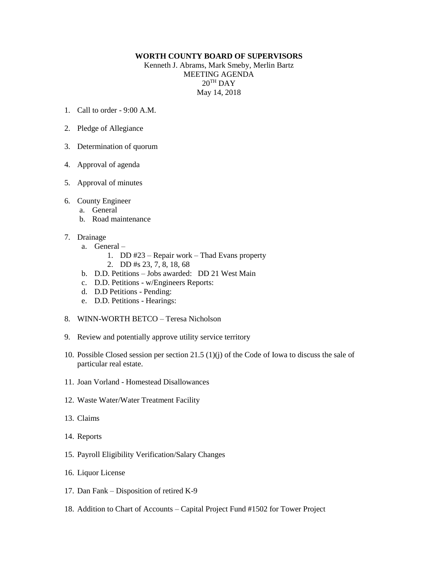## **WORTH COUNTY BOARD OF SUPERVISORS**

Kenneth J. Abrams, Mark Smeby, Merlin Bartz MEETING AGENDA  $20<sup>TH</sup>$  DAY May 14, 2018

- 1. Call to order 9:00 A.M.
- 2. Pledge of Allegiance
- 3. Determination of quorum
- 4. Approval of agenda
- 5. Approval of minutes
- 6. County Engineer
	- a. General
	- b. Road maintenance
- 7. Drainage
	- a. General
		- 1. DD #23 Repair work Thad Evans property
			- 2. DD #s 23, 7, 8, 18, 68
	- b. D.D. Petitions Jobs awarded: DD 21 West Main
	- c. D.D. Petitions w/Engineers Reports:
	- d. D.D Petitions Pending:
	- e. D.D. Petitions Hearings:
- 8. WINN-WORTH BETCO Teresa Nicholson
- 9. Review and potentially approve utility service territory
- 10. Possible Closed session per section 21.5 (1)(j) of the Code of Iowa to discuss the sale of particular real estate.
- 11. Joan Vorland Homestead Disallowances
- 12. Waste Water/Water Treatment Facility
- 13. Claims
- 14. Reports
- 15. Payroll Eligibility Verification/Salary Changes
- 16. Liquor License
- 17. Dan Fank Disposition of retired K-9
- 18. Addition to Chart of Accounts Capital Project Fund #1502 for Tower Project